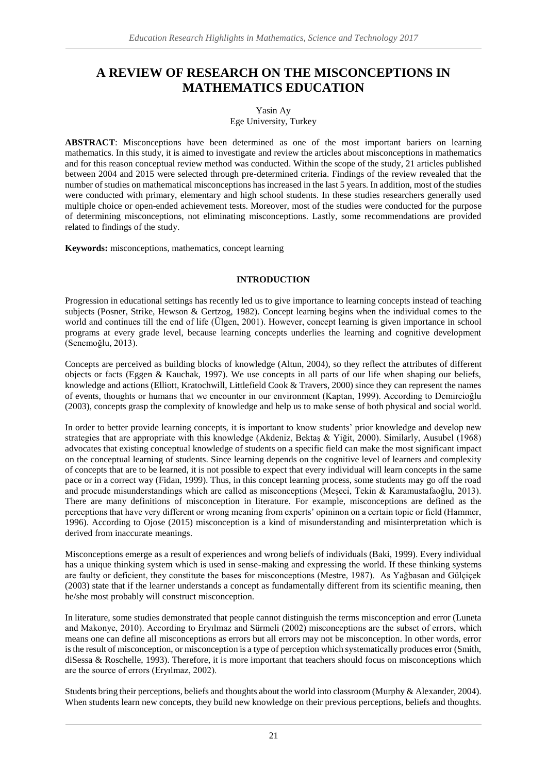# **A REVIEW OF RESEARCH ON THE MISCONCEPTIONS IN MATHEMATICS EDUCATION**

## Yasin Ay Ege University, Turkey

**ABSTRACT**: Misconceptions have been determined as one of the most important bariers on learning mathematics. In this study, it is aimed to investigate and review the articles about misconceptions in mathematics and for this reason conceptual review method was conducted. Within the scope of the study, 21 articles published between 2004 and 2015 were selected through pre-determined criteria. Findings of the review revealed that the number of studies on mathematical misconceptions has increased in the last 5 years. In addition, most of the studies were conducted with primary, elementary and high school students. In these studies researchers generally used multiple choice or open-ended achievement tests. Moreover, most of the studies were conducted for the purpose of determining misconceptions, not eliminating misconceptions. Lastly, some recommendations are provided related to findings of the study.

**Keywords:** misconceptions, mathematics, concept learning

## **INTRODUCTION**

Progression in educational settings has recently led us to give importance to learning concepts instead of teaching subjects (Posner, Strike, Hewson & Gertzog, 1982). Concept learning begins when the individual comes to the world and continues till the end of life (Ülgen, 2001). However, concept learning is given importance in school programs at every grade level, because learning concepts underlies the learning and cognitive development (Senemoğlu, 2013).

Concepts are perceived as building blocks of knowledge (Altun, 2004), so they reflect the attributes of different objects or facts (Eggen & Kauchak, 1997). We use concepts in all parts of our life when shaping our beliefs, knowledge and actions (Elliott, Kratochwill, Littlefield Cook & Travers, 2000) since they can represent the names of events, thoughts or humans that we encounter in our environment (Kaptan, 1999). According to Demircioğlu (2003), concepts grasp the complexity of knowledge and help us to make sense of both physical and social world.

In order to better provide learning concepts, it is important to know students' prior knowledge and develop new strategies that are appropriate with this knowledge (Akdeniz, Bektaş & Yiğit, 2000). Similarly, Ausubel (1968) advocates that existing conceptual knowledge of students on a specific field can make the most significant impact on the conceptual learning of students. Since learning depends on the cognitive level of learners and complexity of concepts that are to be learned, it is not possible to expect that every individual will learn concepts in the same pace or in a correct way (Fidan, 1999). Thus, in this concept learning process, some students may go off the road and procude misunderstandings which are called as misconceptions (Meşeci, Tekin & Karamustafaoğlu, 2013). There are many definitions of misconception in literature. For example, misconceptions are defined as the perceptions that have very different or wrong meaning from experts' opininon on a certain topic or field (Hammer, 1996). According to Ojose (2015) misconception is a kind of misunderstanding and misinterpretation which is derived from inaccurate meanings.

Misconceptions emerge as a result of experiences and wrong beliefs of individuals (Baki, 1999). Every individual has a unique thinking system which is used in sense-making and expressing the world. If these thinking systems are faulty or deficient, they constitute the bases for misconceptions (Mestre, 1987). As Yağbasan and Gülçiçek (2003) state that if the learner understands a concept as fundamentally different from its scientific meaning, then he/she most probably will construct misconception.

In literature, some studies demonstrated that people cannot distinguish the terms misconception and error (Luneta and Makonye, 2010). According to Eryılmaz and Sürmeli (2002) misconceptions are the subset of errors, which means one can define all misconceptions as errors but all errors may not be misconception. In other words, error is the result of misconception, or misconception is a type of perception which systematically produces error (Smith, diSessa & Roschelle, 1993). Therefore, it is more important that teachers should focus on misconceptions which are the source of errors (Eryılmaz, 2002).

Students bring their perceptions, beliefs and thoughts about the world into classroom (Murphy & Alexander, 2004). When students learn new concepts, they build new knowledge on their previous perceptions, beliefs and thoughts.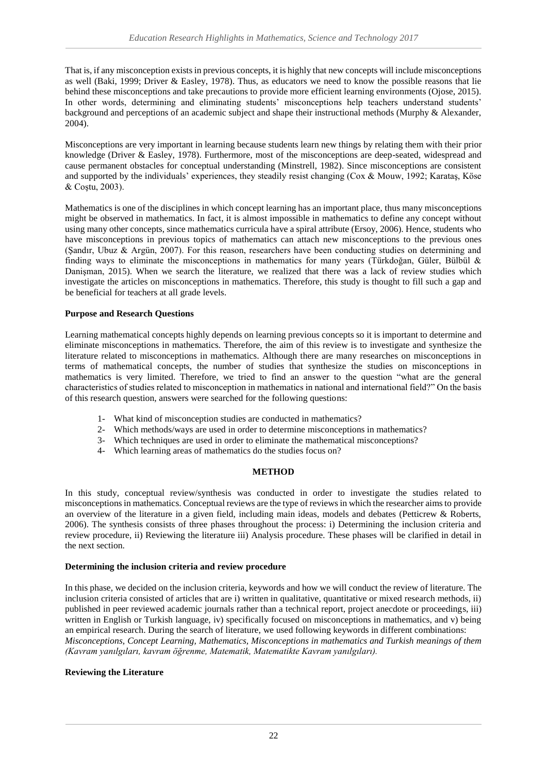That is, if any misconception exists in previous concepts, it is highly that new concepts will include misconceptions as well (Baki, 1999; Driver & Easley, 1978). Thus, as educators we need to know the possible reasons that lie behind these misconceptions and take precautions to provide more efficient learning environments (Ojose, 2015). In other words, determining and eliminating students' misconceptions help teachers understand students' background and perceptions of an academic subject and shape their instructional methods (Murphy & Alexander, 2004).

Misconceptions are very important in learning because students learn new things by relating them with their prior knowledge (Driver & Easley, 1978). Furthermore, most of the misconceptions are deep-seated, widespread and cause permanent obstacles for conceptual understanding (Minstrell, 1982). Since misconceptions are consistent and supported by the individuals' experiences, they steadily resist changing (Cox & Mouw, 1992; Karataş, Köse & Coştu, 2003).

Mathematics is one of the disciplines in which concept learning has an important place, thus many misconceptions might be observed in mathematics. In fact, it is almost impossible in mathematics to define any concept without using many other concepts, since mathematics curricula have a spiral attribute (Ersoy, 2006). Hence, students who have misconceptions in previous topics of mathematics can attach new misconceptions to the previous ones (Şandır, Ubuz & Argün, 2007). For this reason, researchers have been conducting studies on determining and finding ways to eliminate the misconceptions in mathematics for many years (Türkdoğan, Güler, Bülbül & Danişman, 2015). When we search the literature, we realized that there was a lack of review studies which investigate the articles on misconceptions in mathematics. Therefore, this study is thought to fill such a gap and be beneficial for teachers at all grade levels.

# **Purpose and Research Questions**

Learning mathematical concepts highly depends on learning previous concepts so it is important to determine and eliminate misconceptions in mathematics. Therefore, the aim of this review is to investigate and synthesize the literature related to misconceptions in mathematics. Although there are many researches on misconceptions in terms of mathematical concepts, the number of studies that synthesize the studies on misconceptions in mathematics is very limited. Therefore, we tried to find an answer to the question "what are the general characteristics of studies related to misconception in mathematics in national and international field?" On the basis of this research question, answers were searched for the following questions:

- 1- What kind of misconception studies are conducted in mathematics?
- 2- Which methods/ways are used in order to determine misconceptions in mathematics?
- 3- Which techniques are used in order to eliminate the mathematical misconceptions?
- 4- Which learning areas of mathematics do the studies focus on?

### **METHOD**

In this study, conceptual review/synthesis was conducted in order to investigate the studies related to misconceptions in mathematics. Conceptual reviews are the type of reviews in which the researcher aims to provide an overview of the literature in a given field, including main ideas, models and debates (Petticrew & Roberts, 2006). The synthesis consists of three phases throughout the process: i) Determining the inclusion criteria and review procedure, ii) Reviewing the literature iii) Analysis procedure. These phases will be clarified in detail in the next section.

### **Determining the inclusion criteria and review procedure**

In this phase, we decided on the inclusion criteria, keywords and how we will conduct the review of literature. The inclusion criteria consisted of articles that are i) written in qualitative, quantitative or mixed research methods, ii) published in peer reviewed academic journals rather than a technical report, project anecdote or proceedings, iii) written in English or Turkish language, iv) specifically focused on misconceptions in mathematics, and v) being an empirical research. During the search of literature, we used following keywords in different combinations: *Misconceptions, Concept Learning, Mathematics, Misconceptions in mathematics and Turkish meanings of them (Kavram yanılgıları, kavram öğrenme, Matematik, Matematikte Kavram yanılgıları).*

### **Reviewing the Literature**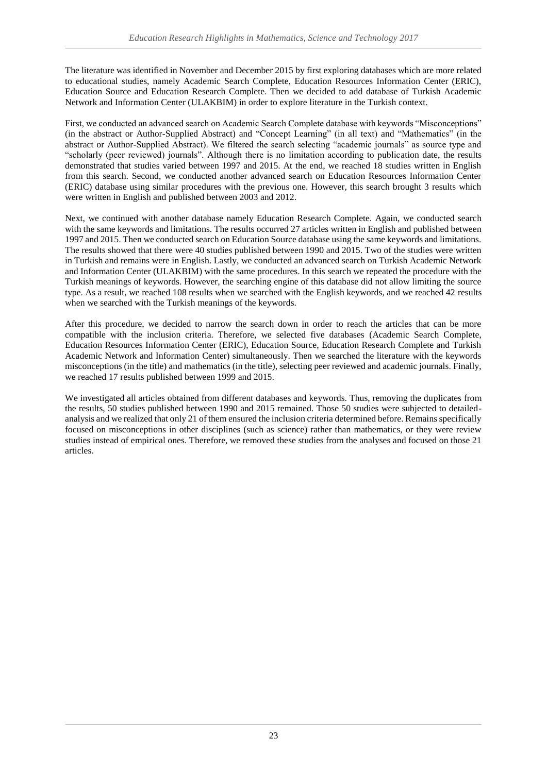The literature was identified in November and December 2015 by first exploring databases which are more related to educational studies, namely Academic Search Complete, Education Resources Information Center (ERIC), Education Source and Education Research Complete. Then we decided to add database of Turkish Academic Network and Information Center (ULAKBIM) in order to explore literature in the Turkish context.

First, we conducted an advanced search on Academic Search Complete database with keywords "Misconceptions" (in the abstract or Author-Supplied Abstract) and "Concept Learning" (in all text) and "Mathematics" (in the abstract or Author-Supplied Abstract). We filtered the search selecting "academic journals" as source type and "scholarly (peer reviewed) journals". Although there is no limitation according to publication date, the results demonstrated that studies varied between 1997 and 2015. At the end, we reached 18 studies written in English from this search. Second, we conducted another advanced search on Education Resources Information Center (ERIC) database using similar procedures with the previous one. However, this search brought 3 results which were written in English and published between 2003 and 2012.

Next, we continued with another database namely Education Research Complete. Again, we conducted search with the same keywords and limitations. The results occurred 27 articles written in English and published between 1997 and 2015. Then we conducted search on Education Source database using the same keywords and limitations. The results showed that there were 40 studies published between 1990 and 2015. Two of the studies were written in Turkish and remains were in English. Lastly, we conducted an advanced search on Turkish Academic Network and Information Center (ULAKBIM) with the same procedures. In this search we repeated the procedure with the Turkish meanings of keywords. However, the searching engine of this database did not allow limiting the source type. As a result, we reached 108 results when we searched with the English keywords, and we reached 42 results when we searched with the Turkish meanings of the keywords.

After this procedure, we decided to narrow the search down in order to reach the articles that can be more compatible with the inclusion criteria. Therefore, we selected five databases (Academic Search Complete, Education Resources Information Center (ERIC), Education Source, Education Research Complete and Turkish Academic Network and Information Center) simultaneously. Then we searched the literature with the keywords misconceptions (in the title) and mathematics (in the title), selecting peer reviewed and academic journals. Finally, we reached 17 results published between 1999 and 2015.

We investigated all articles obtained from different databases and keywords. Thus, removing the duplicates from the results, 50 studies published between 1990 and 2015 remained. Those 50 studies were subjected to detailedanalysis and we realized that only 21 of them ensured the inclusion criteria determined before. Remains specifically focused on misconceptions in other disciplines (such as science) rather than mathematics, or they were review studies instead of empirical ones. Therefore, we removed these studies from the analyses and focused on those 21 articles.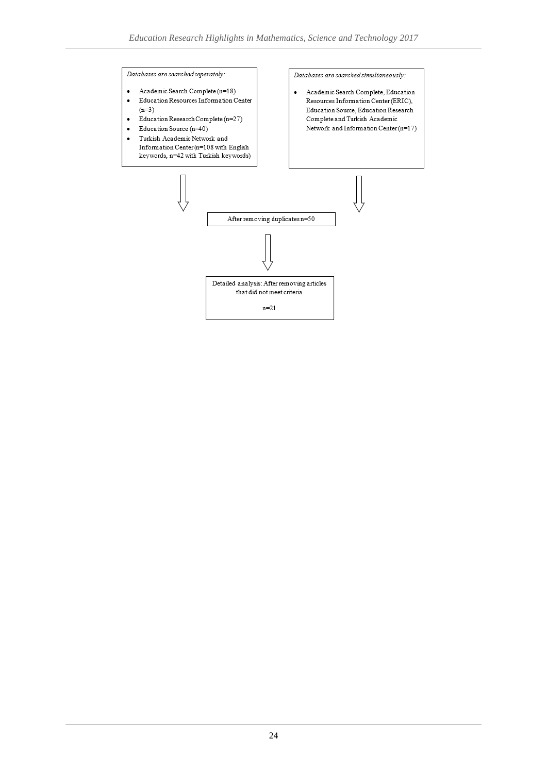Databases are searched seperately:

- Academic Search Complete (n=18)  $\bullet$
- Education Resources Information Center  $\ddot{\phantom{a}}$  $(n=3)$
- Education Research Complete (n=27)  $\cdot$
- Education Source (n=40)  $\ddot{\phantom{0}}$
- Turkish Academic Network and  $\bullet$ Information Center (n=108 with English keywords, n=42 with Turkish keywords)

Databases are searched simultaneously:

Academic Search Complete, Education  $\bullet$ Resources Information Center (ERIC), Education Source, Education Research Complete and Turkish Academic Network and Information Center  $(n=17)$ 

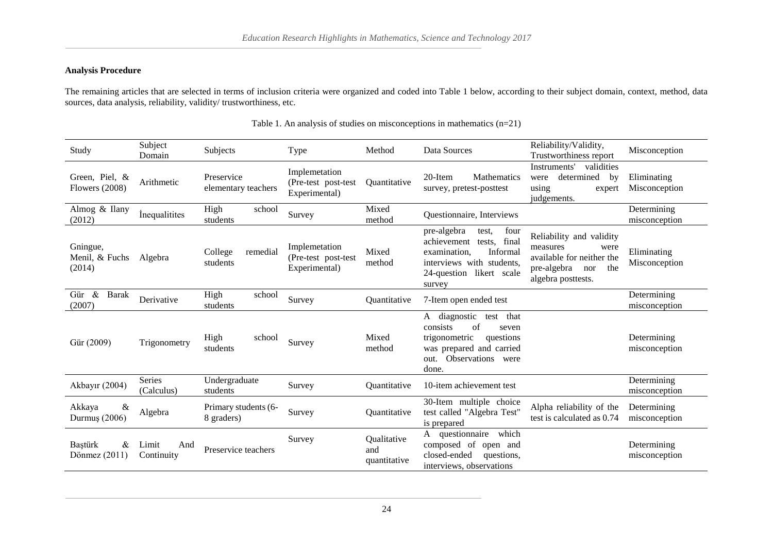# **Analysis Procedure**

The remaining articles that are selected in terms of inclusion criteria were organized and coded into Table 1 below, according to their subject domain, context, method, data sources, data analysis, reliability, validity/ trustworthiness, etc.

| Study                                   | Subject<br>Domain           | Subjects                           | Type                                                   | Method                             | Data Sources                                                                                                                                                  | Reliability/Validity,<br>Trustworthiness report                                                                              | Misconception                |
|-----------------------------------------|-----------------------------|------------------------------------|--------------------------------------------------------|------------------------------------|---------------------------------------------------------------------------------------------------------------------------------------------------------------|------------------------------------------------------------------------------------------------------------------------------|------------------------------|
| Green, Piel, &<br><b>Flowers</b> (2008) | Arithmetic                  | Preservice<br>elementary teachers  | Implemetation<br>(Pre-test post-test)<br>Experimental) | <i><b>Ouantitative</b></i>         | 20-Item<br>Mathematics<br>survey, pretest-posttest                                                                                                            | Instruments'<br>validities<br>determined<br>by<br>were<br>using<br>expert<br>judgements.                                     | Eliminating<br>Misconception |
| Almog & Ilany<br>(2012)                 | <i>inequalitites</i>        | High<br>school<br>students         | Survey                                                 | Mixed<br>method                    | Questionnaire, Interviews                                                                                                                                     |                                                                                                                              | Determining<br>misconception |
| Gningue,<br>Menil, & Fuchs<br>(2014)    | Algebra                     | College<br>remedial<br>students    | Implemetation<br>(Pre-test post-test)<br>Experimental) | Mixed<br>method                    | four<br>pre-algebra<br>test,<br>final<br>achievement<br>tests.<br>Informal<br>examination,<br>interviews with students,<br>24-question likert scale<br>survey | Reliability and validity<br>measures<br>were<br>available for neither the<br>pre-algebra<br>the<br>nor<br>algebra posttests. | Eliminating<br>Misconception |
| Gür &<br><b>Barak</b><br>(2007)         | Derivative                  | High<br>school<br>students         | Survey                                                 | <i><u><b>Ouantitative</b></u></i>  | 7-Item open ended test                                                                                                                                        |                                                                                                                              | Determining<br>misconception |
| Gür (2009)                              | Trigonometry                | High<br>school<br>students         | Survey                                                 | Mixed<br>method                    | A diagnostic<br>test that<br>consists<br>of<br>seven<br>trigonometric<br>questions<br>was prepared and carried<br>Observations were<br>out.<br>done.          |                                                                                                                              | Determining<br>misconception |
| Akbayır (2004)                          | <b>Series</b><br>(Calculus) | Undergraduate<br>students          | Survey                                                 | Quantitative                       | 10-item achievement test                                                                                                                                      |                                                                                                                              | Determining<br>misconception |
| Akkaya<br>&<br>Durmuş (2006)            | Algebra                     | Primary students (6-<br>8 graders) | Survey                                                 | Quantitative                       | 30-Item multiple choice<br>test called "Algebra Test"<br>is prepared                                                                                          | Alpha reliability of the<br>test is calculated as 0.74                                                                       | Determining<br>misconception |
| Baştürk<br>&<br>Dönmez $(2011)$         | Limit<br>And<br>Continuity  | Preservice teachers                | Survey                                                 | Qualitative<br>and<br>quantitative | which<br>questionnaire<br>composed of open and<br>closed-ended<br>questions.<br>interviews, observations                                                      |                                                                                                                              | Determining<br>misconception |

Table 1. An analysis of studies on misconceptions in mathematics (n=21)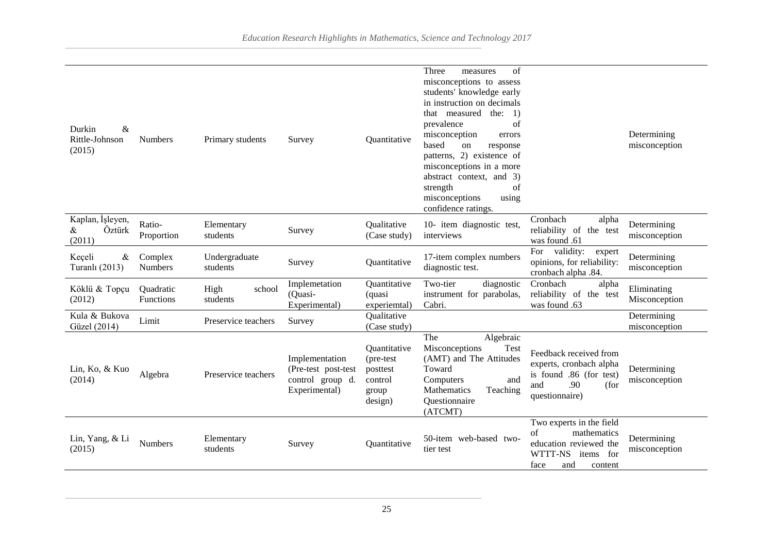| &<br>Durkin<br>Rittle-Johnson<br>(2015)   | <b>Numbers</b>            | Primary students           | Survey                                                                     | Quantitative                                                         | Three<br>of<br>measures<br>misconceptions to assess<br>students' knowledge early<br>in instruction on decimals<br>that measured<br>the:<br>$\left(1\right)$<br>prevalence<br>of<br>misconception<br>errors<br>based<br>on<br>response<br>patterns, 2) existence of<br>misconceptions in a more<br>abstract context, and 3)<br>of<br>strength<br>misconceptions<br>using<br>confidence ratings. |                                                                                                                           | Determining<br>misconception |
|-------------------------------------------|---------------------------|----------------------------|----------------------------------------------------------------------------|----------------------------------------------------------------------|------------------------------------------------------------------------------------------------------------------------------------------------------------------------------------------------------------------------------------------------------------------------------------------------------------------------------------------------------------------------------------------------|---------------------------------------------------------------------------------------------------------------------------|------------------------------|
| Kaplan, İşleyen,<br>Öztürk<br>&<br>(2011) | Ratio-<br>Proportion      | Elementary<br>students     | Survey                                                                     | Qualitative<br>(Case study)                                          | 10- item diagnostic test,<br>interviews                                                                                                                                                                                                                                                                                                                                                        | Cronbach<br>alpha<br>reliability of the test<br>was found .61                                                             | Determining<br>misconception |
| Keçeli<br>&<br>Turanlı (2013)             | Complex<br><b>Numbers</b> | Undergraduate<br>students  | Survey                                                                     | Quantitative                                                         | 17-item complex numbers<br>diagnostic test.                                                                                                                                                                                                                                                                                                                                                    | For validity:<br>expert<br>opinions, for reliability:<br>cronbach alpha .84.                                              | Determining<br>misconception |
| Köklü & Topçu<br>(2012)                   | Quadratic<br>Functions    | High<br>school<br>students | Implemetation<br>(Quasi-<br>Experimental)                                  | Quantitative<br>(quasi<br>experiemtal)                               | Two-tier<br>diagnostic<br>instrument for parabolas,<br>Cabri.                                                                                                                                                                                                                                                                                                                                  | Cronbach<br>alpha<br>reliability of the test<br>was found .63                                                             | Eliminating<br>Misconception |
| Kula & Bukova<br>Güzel (2014)             | Limit                     | Preservice teachers        | Survey                                                                     | Qualitative<br>(Case study)                                          |                                                                                                                                                                                                                                                                                                                                                                                                |                                                                                                                           | Determining<br>misconception |
| Lin, Ko, & Kuo<br>(2014)                  | Algebra                   | Preservice teachers        | Implementation<br>(Pre-test post-test<br>control group d.<br>Experimental) | Quantitative<br>(pre-test<br>posttest<br>control<br>group<br>design) | The<br>Algebraic<br>Misconceptions<br>Test<br>(AMT) and The Attitudes<br>Toward<br>Computers<br>and<br><b>Mathematics</b><br>Teaching<br>Questionnaire<br>(ATCMT)                                                                                                                                                                                                                              | Feedback received from<br>experts, cronbach alpha<br>is found .86 (for test)<br>.90<br>and<br>(for<br>questionnaire)      | Determining<br>misconception |
| Lin, Yang, & Li<br>(2015)                 | <b>Numbers</b>            | Elementary<br>students     | Survey                                                                     | Quantitative                                                         | 50-item web-based two-<br>tier test                                                                                                                                                                                                                                                                                                                                                            | Two experts in the field<br>of<br>mathematics<br>education reviewed the<br>WTTT-NS<br>items for<br>face<br>and<br>content | Determining<br>misconception |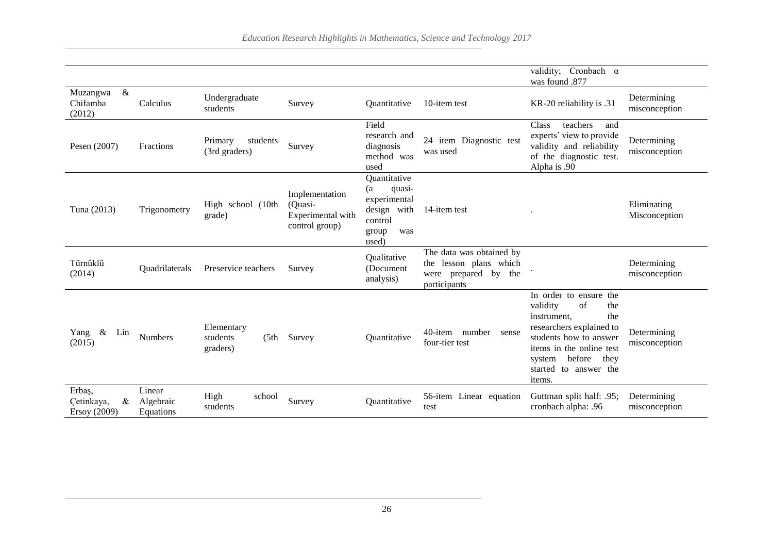|                                              |                                  |                                             |                                                                  |                                                                                                 |                                                                                               | validity; Cronbach $\alpha$<br>was found .877                                                                                                                                                                          |                              |
|----------------------------------------------|----------------------------------|---------------------------------------------|------------------------------------------------------------------|-------------------------------------------------------------------------------------------------|-----------------------------------------------------------------------------------------------|------------------------------------------------------------------------------------------------------------------------------------------------------------------------------------------------------------------------|------------------------------|
| $\&$<br>Muzangwa<br>Chifamba<br>(2012)       | Calculus                         | Undergraduate<br>students                   | Survey                                                           | Quantitative                                                                                    | 10-item test                                                                                  | KR-20 reliability is .31                                                                                                                                                                                               | Determining<br>misconception |
| Pesen (2007)                                 | Fractions                        | Primary<br>students<br>(3rd graders)        | Survey                                                           | Field<br>research and<br>diagnosis<br>method was<br>used                                        | 24 item Diagnostic test<br>was used                                                           | <b>Class</b><br>teachers<br>and<br>experts' view to provide<br>validity and reliability<br>of the diagnostic test.<br>Alpha is .90                                                                                     | Determining<br>misconception |
| Tuna (2013)                                  | Trigonometry                     | High school (10th<br>grade)                 | Implementation<br>(Quasi-<br>Experimental with<br>control group) | Quantitative<br>(a<br>quasi-<br>experimental<br>design with<br>control<br>was<br>group<br>used) | 14-item test                                                                                  |                                                                                                                                                                                                                        | Eliminating<br>Misconception |
| Türnüklü<br>(2014)                           | Quadrilaterals                   | Preservice teachers                         | Survey                                                           | Qualitative<br>(Document)<br>analysis)                                                          | The data was obtained by<br>lesson plans which<br>the<br>were prepared by the<br>participants |                                                                                                                                                                                                                        | Determining<br>misconception |
| $\&$<br>Yang<br>Lin<br>(2015)                | <b>Numbers</b>                   | Elementary<br>students<br>(5th)<br>graders) | Survey                                                           | Quantitative                                                                                    | 40-item number<br>sense<br>four-tier test                                                     | In order to ensure the<br>validity<br>of<br>the<br>the<br>instrument.<br>researchers explained to<br>students how to answer<br>items in the online test<br>before<br>they<br>system<br>started to answer the<br>items. | Determining<br>misconception |
| Erbaş,<br>$\&$<br>Cetinkaya,<br>Ersoy (2009) | Linear<br>Algebraic<br>Equations | High<br>school<br>students                  | Survey                                                           | Quantitative                                                                                    | 56-item Linear equation<br>test                                                               | Guttman split half: .95;<br>cronbach alpha: .96                                                                                                                                                                        | Determining<br>misconception |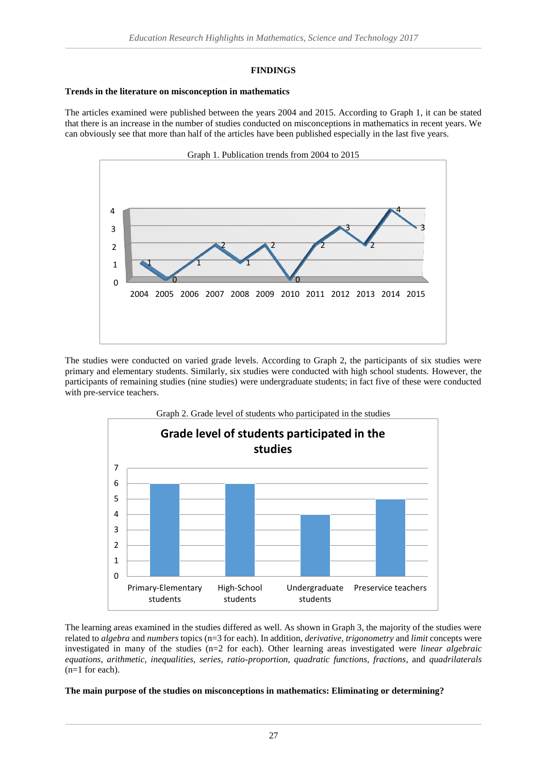## **FINDINGS**

## **Trends in the literature on misconception in mathematics**

The articles examined were published between the years 2004 and 2015. According to Graph 1, it can be stated that there is an increase in the number of studies conducted on misconceptions in mathematics in recent years. We can obviously see that more than half of the articles have been published especially in the last five years.



The studies were conducted on varied grade levels. According to Graph 2, the participants of six studies were primary and elementary students. Similarly, six studies were conducted with high school students. However, the participants of remaining studies (nine studies) were undergraduate students; in fact five of these were conducted with pre-service teachers.



The learning areas examined in the studies differed as well. As shown in Graph 3, the majority of the studies were related to *algebra* and *numbers* topics (n=3 for each). In addition, *derivative, trigonometry* and *limit* concepts were investigated in many of the studies (n=2 for each). Other learning areas investigated were *linear algebraic equations*, *arithmetic, inequalities, series, ratio-proportion, quadratic functions, fractions*, and *quadrilaterals* (n=1 for each).

### **The main purpose of the studies on misconceptions in mathematics: Eliminating or determining?**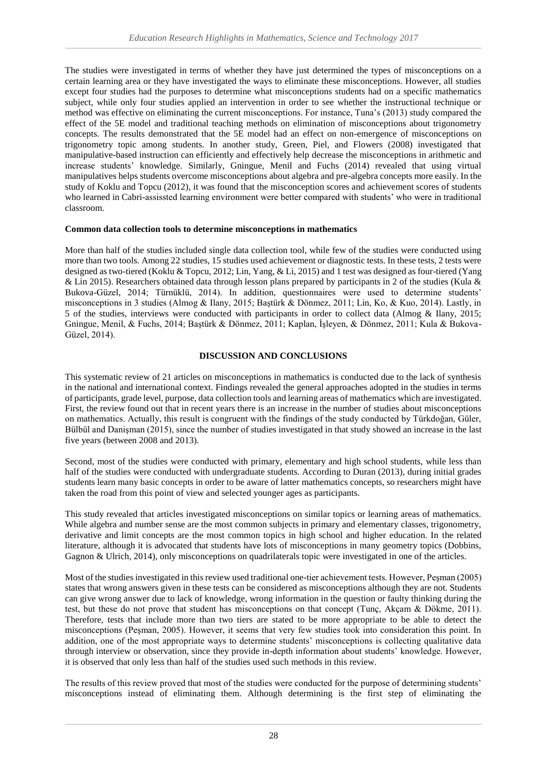The studies were investigated in terms of whether they have just determined the types of misconceptions on a certain learning area or they have investigated the ways to eliminate these misconceptions. However, all studies except four studies had the purposes to determine what misconceptions students had on a specific mathematics subject, while only four studies applied an intervention in order to see whether the instructional technique or method was effective on eliminating the current misconceptions. For instance, Tuna's (2013) study compared the effect of the 5E model and traditional teaching methods on elimination of misconceptions about trigonometry concepts. The results demonstrated that the 5E model had an effect on non-emergence of misconceptions on trigonometry topic among students. In another study, Green, Piel, and Flowers (2008) investigated that manipulative-based instruction can efficiently and effectively help decrease the misconceptions in arithmetic and increase students' knowledge. Similarly, Gningue, Menil and Fuchs (2014) revealed that using virtual manipulatives helps students overcome misconceptions about algebra and pre-algebra concepts more easily. In the study of Koklu and Topcu (2012), it was found that the misconception scores and achievement scores of students who learned in Cabri-assissted learning environment were better compared with students' who were in traditional classroom.

## **Common data collection tools to determine misconceptions in mathematics**

More than half of the studies included single data collection tool, while few of the studies were conducted using more than two tools. Among 22 studies, 15 studies used achievement or diagnostic tests. In these tests, 2 tests were designed as two-tiered (Koklu & Topcu, 2012; Lin, Yang, & Li, 2015) and 1 test was designed as four-tiered (Yang & Lin 2015). Researchers obtained data through lesson plans prepared by participants in 2 of the studies (Kula & Bukova-Güzel, 2014; Türnüklü, 2014). In addition, questionnaires were used to determine students' misconceptions in 3 studies (Almog & Ilany, 2015; Baştürk & Dönmez, 2011; Lin, Ko, & Kuo, 2014). Lastly, in 5 of the studies, interviews were conducted with participants in order to collect data (Almog & Ilany, 2015; Gningue, Menil, & Fuchs, 2014; Baştürk & Dönmez, 2011; Kaplan, İşleyen, & Dönmez, 2011; Kula & Bukova-Güzel, 2014).

## **DISCUSSION AND CONCLUSIONS**

This systematic review of 21 articles on misconceptions in mathematics is conducted due to the lack of synthesis in the national and international context. Findings revealed the general approaches adopted in the studies in terms of participants, grade level, purpose, data collection tools and learning areas of mathematics which are investigated. First, the review found out that in recent years there is an increase in the number of studies about misconceptions on mathematics. Actually, this result is congruent with the findings of the study conducted by Türkdoğan, Güler, Bülbül and Danişman (2015), since the number of studies investigated in that study showed an increase in the last five years (between 2008 and 2013).

Second, most of the studies were conducted with primary, elementary and high school students, while less than half of the studies were conducted with undergraduate students. According to Duran (2013), during initial grades students learn many basic concepts in order to be aware of latter mathematics concepts, so researchers might have taken the road from this point of view and selected younger ages as participants.

This study revealed that articles investigated misconceptions on similar topics or learning areas of mathematics. While algebra and number sense are the most common subjects in primary and elementary classes, trigonometry, derivative and limit concepts are the most common topics in high school and higher education. In the related literature, although it is advocated that students have lots of misconceptions in many geometry topics (Dobbins, Gagnon & Ulrich, 2014), only misconceptions on quadrilaterals topic were investigated in one of the articles.

Most of the studies investigated in this review used traditional one-tier achievement tests. However, Peşman (2005) states that wrong answers given in these tests can be considered as misconceptions although they are not. Students can give wrong answer due to lack of knowledge, wrong information in the question or faulty thinking during the test, but these do not prove that student has misconceptions on that concept (Tunc, Akçam & Dökme, 2011). Therefore, tests that include more than two tiers are stated to be more appropriate to be able to detect the misconceptions (Peşman, 2005). However, it seems that very few studies took into consideration this point. In addition, one of the most appropriate ways to determine students' misconceptions is collecting qualitative data through interview or observation, since they provide in-depth information about students' knowledge. However, it is observed that only less than half of the studies used such methods in this review.

The results of this review proved that most of the studies were conducted for the purpose of determining students' misconceptions instead of eliminating them. Although determining is the first step of eliminating the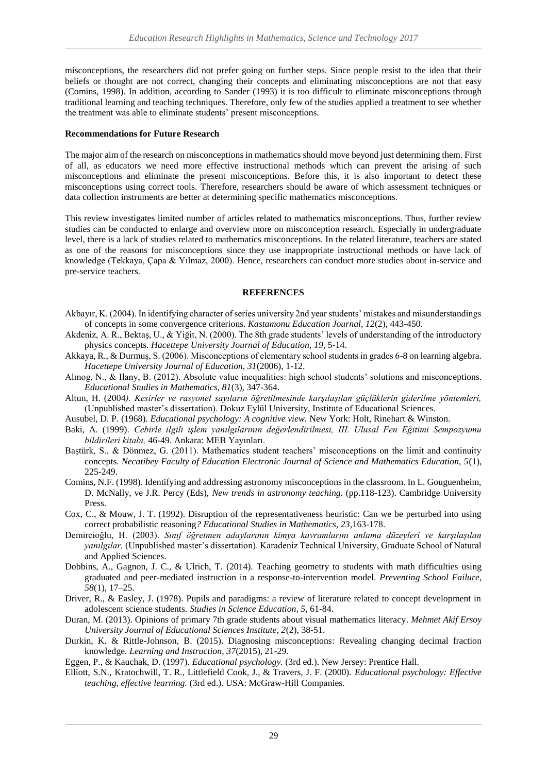misconceptions, the researchers did not prefer going on further steps. Since people resist to the idea that their beliefs or thought are not correct, changing their concepts and eliminating misconceptions are not that easy (Comins, 1998). In addition, according to Sander (1993) it is too difficult to eliminate misconceptions through traditional learning and teaching techniques. Therefore, only few of the studies applied a treatment to see whether the treatment was able to eliminate students' present misconceptions.

#### **Recommendations for Future Research**

The major aim of the research on misconceptions in mathematics should move beyond just determining them. First of all, as educators we need more effective instructional methods which can prevent the arising of such misconceptions and eliminate the present misconceptions. Before this, it is also important to detect these misconceptions using correct tools. Therefore, researchers should be aware of which assessment techniques or data collection instruments are better at determining specific mathematics misconceptions.

This review investigates limited number of articles related to mathematics misconceptions. Thus, further review studies can be conducted to enlarge and overview more on misconception research. Especially in undergraduate level, there is a lack of studies related to mathematics misconceptions. In the related literature, teachers are stated as one of the reasons for misconceptions since they use inappropriate instructional methods or have lack of knowledge (Tekkaya, Çapa & Yılmaz, 2000). Hence, researchers can conduct more studies about in-service and pre-service teachers.

### **REFERENCES**

- Akbayır, K. (2004). In identifying character of series university 2nd year students' mistakes and misunderstandings of concepts in some convergence criterions. *Kastamonu Education Journal, 12*(2), 443-450.
- Akdeniz, A. R., Bektaş, U., & Yiğit, N. (2000). The 8th grade students' levels of understanding of the introductory physics concepts. *Hacettepe University Journal of Education, 19*, 5-14.
- Akkaya, R., & Durmuş, S. (2006). Misconceptions of elementary school students in grades 6-8 on learning algebra. *Hacettepe University Journal of Education, 31*(2006), 1-12.
- Almog, N., & Ilany, B. (2012). Absolute value inequalities: high school students' solutions and misconceptions. *Educational Studies in Mathematics, 81*(3), 347-364.
- Altun, H. (2004*). Kesirler ve rasyonel sayıların öğretilmesinde karşılaşılan güçlüklerin giderilme yöntemleri,* (Unpublished master's dissertation). Dokuz Eylül University, Institute of Educational Sciences.
- Ausubel, D. P. (1968). *Educational psychology: A cognitive view.* New York: Holt, Rinehart & Winston.
- Baki, A. (1999). *Cebirle ilgili işlem yanılgılarının değerlendirilmesi, III. Ulusal Fen Eğitimi Sempozyumu bildirileri kitabı,* 46-49. Ankara: MEB Yayınları.
- Baştürk, S., & Dönmez, G. (2011). Mathematics student teachers' misconceptions on the limit and continuity concepts. *Necatibey Faculty of Education Electronic Journal of Science and Mathematics Education, 5*(1), 225-249.
- Comins, N.F. (1998). Identifying and addressing astronomy misconceptions in the classroom. In L. Gouguenheim, D. McNally, ve J.R. Percy (Eds), *New trends in astronomy teaching*. (pp.118-123). Cambridge University Press.
- Cox, C., & Mouw, J. T. (1992). Disruption of the representativeness heuristic: Can we be perturbed into using correct probabilistic reasoning*? Educational Studies in Mathematics, 23,*163-178.
- Demircioğlu, H. (2003). *Sınıf öğretmen adaylarının kimya kavramlarını anlama düzeyleri ve karşılaşılan yanılgılar,* (Unpublished master's dissertation). Karadeniz Technical University, Graduate School of Natural and Applied Sciences.
- Dobbins, A., Gagnon, J. C., & Ulrich, T. (2014). Teaching geometry to students with math difficulties using graduated and peer-mediated instruction in a response-to-intervention model. *Preventing School Failure*, *58*(1), 17–25.
- Driver, R., & Easley, J. (1978). Pupils and paradigms: a review of literature related to concept development in adolescent science students. *Studies in Science Education, 5*, 61-84.
- Duran, M. (2013). Opinions of primary 7th grade students about visual mathematics literacy. *Mehmet Akif Ersoy University Journal of Educational Sciences Institute, 2*(2), 38-51.
- Durkin, K. & Rittle-Johnson, B. (2015). Diagnosing misconceptions: Revealing changing decimal fraction knowledge*. Learning and Instruction, 37*(2015), 21-29.

Eggen, P., & Kauchak, D. (1997). *Educational psychology.* (3rd ed.). New Jersey: Prentice Hall.

Elliott, S.N., Kratochwill, T. R., Littlefield Cook, J., & Travers, J. F. (2000). *Educational psychology: Effective teaching, effective learning.* (3rd ed.). USA: McGraw-Hill Companies.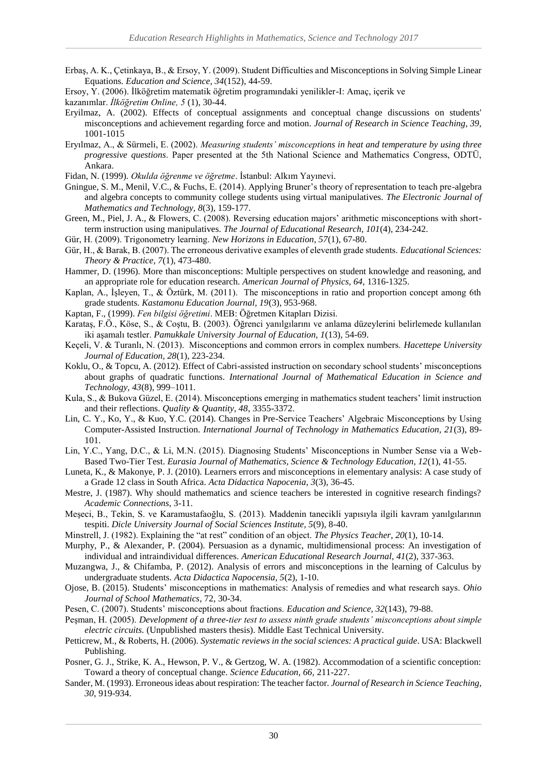- Erbaş, A. K., Çetinkaya, B., & Ersoy, Y. (2009). Student Difficulties and Misconceptions in Solving Simple Linear Equations. *Education and Science, 34*(152), 44-59.
- Ersoy, Y. (2006). İlköğretim matematik öğretim programındaki yenilikler-I: Amaç, içerik ve
- kazanımlar. *İlköğretim Online, 5* (1), 30-44.
- Eryilmaz, A. (2002). Effects of conceptual assignments and conceptual change discussions on students' misconceptions and achievement regarding force and motion. *Journal of Research in Science Teaching, 39,* 1001-1015
- Eryılmaz, A., & Sürmeli, E. (2002). *Measuring students' misconceptions in heat and temperature by using three progressive questions*. Paper presented at the 5th National Science and Mathematics Congress, ODTÜ, Ankara.

Fidan, N. (1999). *Okulda öğrenme ve öğretme*. İstanbul: Alkım Yayınevi.

- Gningue, S. M., Menil, V.C., & Fuchs, E. (2014). Applying Bruner's theory of representation to teach pre-algebra and algebra concepts to community college students using virtual manipulatives. *The Electronic Journal of Mathematics and Technology, 8*(3), 159-177.
- Green, M., Piel, J. A., & Flowers, C. (2008). Reversing education majors' arithmetic misconceptions with shortterm instruction using manipulatives. *The Journal of Educational Research, 101*(4), 234-242.
- Gür, H. (2009). Trigonometry learning. *New Horizons in Education, 57*(1), 67-80.
- Gür, H., & Barak, B. (2007). The erroneous derivative examples of eleventh grade students. *Educational Sciences: Theory & Practice, 7*(1), 473-480.
- Hammer, D. (1996). More than misconceptions: Multiple perspectives on student knowledge and reasoning, and an appropriate role for education research. *American Journal of Physics, 64,* 1316-1325.
- Kaplan, A., İşleyen, T., & Öztürk, M. (2011). The misconceptions in ratio and proportion concept among 6th grade students. *Kastamonu Education Journal, 19*(3), 953-968.
- Kaptan, F., (1999). *Fen bilgisi öğretimi*. MEB: Öğretmen Kitapları Dizisi.
- Karataş, F.Ö., Köse, S., & Coştu, B. (2003). Öğrenci yanılgılarını ve anlama düzeylerini belirlemede kullanılan iki aşamalı testler. *Pamukkale University Journal of Education, 1*(13), 54-69.
- Keçeli, V. & Turanlı, N. (2013). Misconceptions and common errors in complex numbers. *Hacettepe University Journal of Education, 28*(1), 223-234.
- Koklu, O., & Topcu, A. (2012). Effect of Cabri-assisted instruction on secondary school students' misconceptions about graphs of quadratic functions. *International Journal of Mathematical Education in Science and Technology, 43*(8), 999–1011.
- Kula, S., & Bukova Güzel, E. (2014). Misconceptions emerging in mathematics student teachers' limit instruction and their reflections. *Quality & Quantity, 48*, 3355-3372.
- Lin, C. Y., Ko, Y., & Kuo, Y.C. (2014). Changes in Pre-Service Teachers' Algebraic Misconceptions by Using Computer-Assisted Instruction. *International Journal of Technology in Mathematics Education, 21*(3), 89- 101.
- Lin, Y.C., Yang, D.C., & Li, M.N. (2015). Diagnosing Students' Misconceptions in Number Sense via a Web-Based Two-Tier Test. *Eurasia Journal of Mathematics, Science & Technology Education, 12*(1), 41-55.
- Luneta, K., & Makonye, P. J. (2010). Learners errors and misconceptions in elementary analysis: A case study of a Grade 12 class in South Africa. *Acta Didactica Napocenia, 3*(3), 36-45.
- Mestre, J. (1987). Why should mathematics and science teachers be interested in cognitive research findings? *Academic Connections*, 3-11.
- Meşeci, B., Tekin, S. ve Karamustafaoğlu, S. (2013). Maddenin tanecikli yapısıyla ilgili kavram yanılgılarının tespiti. *Dicle University Journal of Social Sciences Institute, 5*(9), 8-40.
- Minstrell, J. (1982). Explaining the "at rest" condition of an object. *The Physics Teacher*, *20*(1), 10-14.
- Murphy, P., & Alexander, P. (2004). Persuasion as a dynamic, multidimensional process: An investigation of individual and intraindividual differences. *American Educational Research Journal, 41*(2), 337-363.
- Muzangwa, J., & Chifamba, P. (2012). Analysis of errors and misconceptions in the learning of Calculus by undergraduate students. *Acta Didactica Napocensia, 5*(2), 1-10.
- Ojose, B. (2015). Students' misconceptions in mathematics: Analysis of remedies and what research says. *Ohio Journal of School Mathematics*, 72, 30-34.
- Pesen, C. (2007). Students' misconceptions about fractions. *Education and Science, 32*(143), 79-88.
- Peşman, H. (2005). *Development of a three-tier test to assess ninth grade students' misconceptions about simple electric circuits.* (Unpublished masters thesis). Middle East Technical University.
- Petticrew, M., & Roberts, H. (2006). *Systematic reviews in the social sciences: A practical guide*. USA: Blackwell Publishing.
- Posner, G. J., Strike, K. A., Hewson, P. V., & Gertzog, W. A. (1982). Accommodation of a scientific conception: Toward a theory of conceptual change. *Science Education, 66,* 211-227.
- Sander, M. (1993). Erroneous ideas about respiration: The teacher factor. *Journal of Research in Science Teaching, 30*, 919-934.